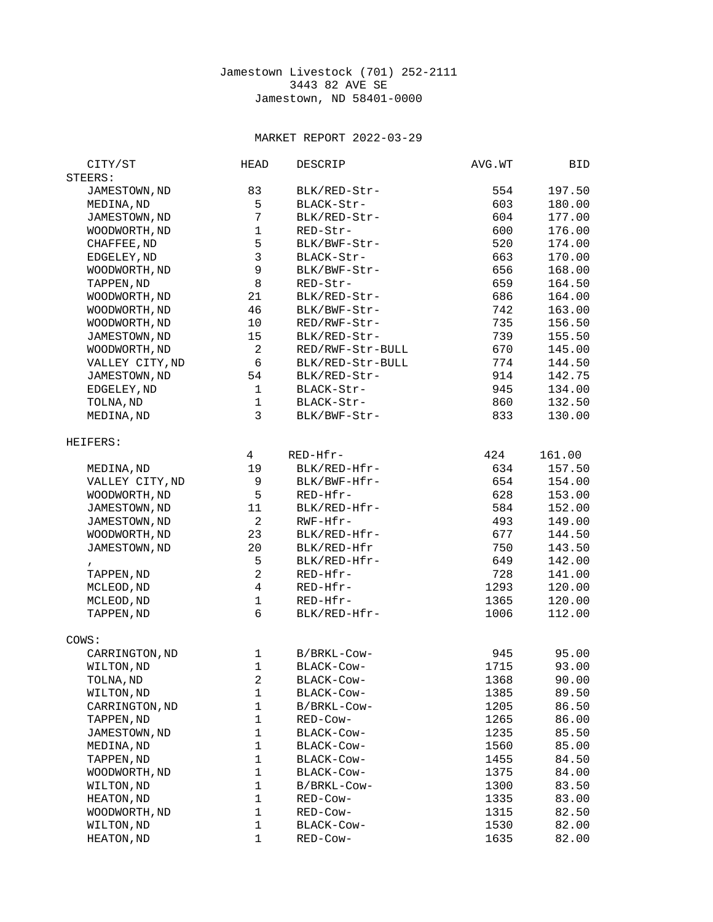## Jamestown Livestock (701) 252-2111 3443 82 AVE SE Jamestown, ND 58401-0000

## MARKET REPORT 2022-03-29

| STEERS:<br>JAMESTOWN, ND<br>83<br>BLK/RED-Str-<br>554<br>197.50<br>5<br>603<br>MEDINA, ND<br>180.00<br>BLACK-Str-<br>$\overline{7}$<br>JAMESTOWN, ND<br>BLK/RED-Str-<br>604<br>177.00<br>$\mathbf{1}$<br>600<br>WOODWORTH, ND<br>RED-Str-<br>176.00<br>5<br>CHAFFEE, ND<br>520<br>BLK/BWF-Str-<br>174.00<br>3<br>663<br>EDGELEY, ND<br>BLACK-Str-<br>170.00<br>$\mathsf g$<br>656<br>WOODWORTH, ND<br>BLK/BWF-Str-<br>168.00<br>8<br>659<br>TAPPEN, ND<br>RED-Str-<br>164.50<br>21<br>686<br>164.00<br>WOODWORTH, ND<br>BLK/RED-Str-<br>WOODWORTH, ND<br>46<br>742<br>163.00<br>BLK/BWF-Str-<br>735<br>WOODWORTH, ND<br>10<br>RED/RWF-Str-<br>156.50<br>JAMESTOWN, ND<br>15<br>BLK/RED-Str-<br>739<br>155.50<br>$\overline{c}$<br>RED/RWF-Str-BULL<br>670<br>145.00<br>WOODWORTH, ND<br>6<br>774<br>VALLEY CITY, ND<br>BLK/RED-Str-BULL<br>144.50<br>54<br>914<br>JAMESTOWN, ND<br>BLK/RED-Str-<br>142.75<br>$\mathbf{1}$<br>945<br>134.00<br>EDGELEY, ND<br>BLACK-Str-<br>$\mathbf 1$<br>132.50<br>TOLNA, ND<br>BLACK-Str-<br>860<br>3<br>MEDINA, ND<br>833<br>BLK/BWF-Str-<br>130.00<br>HEIFERS:<br>$\overline{4}$<br>RED-Hfr-<br>424<br>161.00<br>MEDINA, ND<br>19<br>BLK/RED-Hfr-<br>634<br>157.50<br>VALLEY CITY, ND<br>654<br>9<br>BLK/BWF-Hfr-<br>154.00<br>5<br>628<br>WOODWORTH, ND<br>RED-Hfr-<br>153.00<br>11<br>584<br>152.00<br>JAMESTOWN, ND<br>BLK/RED-Hfr-<br>$\overline{c}$<br>RWF-Hfr-<br>JAMESTOWN, ND<br>493<br>149.00<br>23<br>144.50<br>WOODWORTH, ND<br>BLK/RED-Hfr-<br>677<br>JAMESTOWN, ND<br>20<br>BLK/RED-Hfr<br>750<br>143.50<br>5<br>BLK/RED-Hfr-<br>649<br>142.00<br>$\mathbf{r}$<br>$\overline{c}$<br>728<br>TAPPEN, ND<br>RED-Hfr-<br>141.00<br>$\overline{4}$<br>MCLEOD, ND<br>RED-Hfr-<br>1293<br>120.00<br>$\mathbf{1}$<br>MCLEOD, ND<br>RED-Hfr-<br>1365<br>120.00<br>6<br>TAPPEN, ND<br>BLK/RED-Hfr-<br>1006<br>112.00<br>COWS:<br>CARRINGTON, ND<br>$\mathbf{1}$<br>B/BRKL-Cow-<br>945<br>95.00<br>$\mathbf{1}$<br>BLACK-COW-<br>1715<br>93.00<br>WILTON, ND<br>$\overline{c}$<br>1368<br>90.00<br>TOLNA, ND<br>BLACK-Cow-<br>WILTON, ND<br>1<br>BLACK-Cow-<br>89.50<br>1385<br>CARRINGTON, ND<br>$\mathbf 1$<br>B/BRKL-Cow-<br>1205<br>86.50<br>$\mathbf{1}$<br>TAPPEN, ND<br>RED-Cow-<br>1265<br>86.00<br>$\mathbf{1}$<br>JAMESTOWN, ND<br>BLACK-Cow-<br>1235<br>85.50<br>$\mathbf{1}$<br>MEDINA, ND<br>BLACK-Cow-<br>1560<br>85.00<br>$\mathbf{1}$<br>TAPPEN, ND<br>1455<br>BLACK-COW-<br>84.50<br>$\mathbf{1}$<br>WOODWORTH, ND<br>BLACK-Cow-<br>1375<br>84.00<br>WILTON, ND<br>$\mathbf{1}$<br>83.50<br>B/BRKL-Cow-<br>1300<br>$\mathbf{1}$<br>HEATON, ND<br>1335<br>83.00<br>RED-Cow-<br>$\mathbf{1}$<br>WOODWORTH, ND<br>RED-Cow-<br>1315<br>82.50<br>$\mathbf{1}$<br>WILTON, ND<br>BLACK-Cow-<br>1530<br>82.00<br>$\mathbf{1}$<br>HEATON, ND<br>RED-Cow-<br>1635<br>82.00 | CITY/ST | <b>HEAD</b> | <b>DESCRIP</b> | AVG.WT | BID |
|-------------------------------------------------------------------------------------------------------------------------------------------------------------------------------------------------------------------------------------------------------------------------------------------------------------------------------------------------------------------------------------------------------------------------------------------------------------------------------------------------------------------------------------------------------------------------------------------------------------------------------------------------------------------------------------------------------------------------------------------------------------------------------------------------------------------------------------------------------------------------------------------------------------------------------------------------------------------------------------------------------------------------------------------------------------------------------------------------------------------------------------------------------------------------------------------------------------------------------------------------------------------------------------------------------------------------------------------------------------------------------------------------------------------------------------------------------------------------------------------------------------------------------------------------------------------------------------------------------------------------------------------------------------------------------------------------------------------------------------------------------------------------------------------------------------------------------------------------------------------------------------------------------------------------------------------------------------------------------------------------------------------------------------------------------------------------------------------------------------------------------------------------------------------------------------------------------------------------------------------------------------------------------------------------------------------------------------------------------------------------------------------------------------------------------------------------------------------------------------------------------------------------------------------------------------------------------------------------------------------------------------------------------------------------------------------------------------------------------------------------------------------------------------------------------------------------|---------|-------------|----------------|--------|-----|
|                                                                                                                                                                                                                                                                                                                                                                                                                                                                                                                                                                                                                                                                                                                                                                                                                                                                                                                                                                                                                                                                                                                                                                                                                                                                                                                                                                                                                                                                                                                                                                                                                                                                                                                                                                                                                                                                                                                                                                                                                                                                                                                                                                                                                                                                                                                                                                                                                                                                                                                                                                                                                                                                                                                                                                                                                         |         |             |                |        |     |
|                                                                                                                                                                                                                                                                                                                                                                                                                                                                                                                                                                                                                                                                                                                                                                                                                                                                                                                                                                                                                                                                                                                                                                                                                                                                                                                                                                                                                                                                                                                                                                                                                                                                                                                                                                                                                                                                                                                                                                                                                                                                                                                                                                                                                                                                                                                                                                                                                                                                                                                                                                                                                                                                                                                                                                                                                         |         |             |                |        |     |
|                                                                                                                                                                                                                                                                                                                                                                                                                                                                                                                                                                                                                                                                                                                                                                                                                                                                                                                                                                                                                                                                                                                                                                                                                                                                                                                                                                                                                                                                                                                                                                                                                                                                                                                                                                                                                                                                                                                                                                                                                                                                                                                                                                                                                                                                                                                                                                                                                                                                                                                                                                                                                                                                                                                                                                                                                         |         |             |                |        |     |
|                                                                                                                                                                                                                                                                                                                                                                                                                                                                                                                                                                                                                                                                                                                                                                                                                                                                                                                                                                                                                                                                                                                                                                                                                                                                                                                                                                                                                                                                                                                                                                                                                                                                                                                                                                                                                                                                                                                                                                                                                                                                                                                                                                                                                                                                                                                                                                                                                                                                                                                                                                                                                                                                                                                                                                                                                         |         |             |                |        |     |
|                                                                                                                                                                                                                                                                                                                                                                                                                                                                                                                                                                                                                                                                                                                                                                                                                                                                                                                                                                                                                                                                                                                                                                                                                                                                                                                                                                                                                                                                                                                                                                                                                                                                                                                                                                                                                                                                                                                                                                                                                                                                                                                                                                                                                                                                                                                                                                                                                                                                                                                                                                                                                                                                                                                                                                                                                         |         |             |                |        |     |
|                                                                                                                                                                                                                                                                                                                                                                                                                                                                                                                                                                                                                                                                                                                                                                                                                                                                                                                                                                                                                                                                                                                                                                                                                                                                                                                                                                                                                                                                                                                                                                                                                                                                                                                                                                                                                                                                                                                                                                                                                                                                                                                                                                                                                                                                                                                                                                                                                                                                                                                                                                                                                                                                                                                                                                                                                         |         |             |                |        |     |
|                                                                                                                                                                                                                                                                                                                                                                                                                                                                                                                                                                                                                                                                                                                                                                                                                                                                                                                                                                                                                                                                                                                                                                                                                                                                                                                                                                                                                                                                                                                                                                                                                                                                                                                                                                                                                                                                                                                                                                                                                                                                                                                                                                                                                                                                                                                                                                                                                                                                                                                                                                                                                                                                                                                                                                                                                         |         |             |                |        |     |
|                                                                                                                                                                                                                                                                                                                                                                                                                                                                                                                                                                                                                                                                                                                                                                                                                                                                                                                                                                                                                                                                                                                                                                                                                                                                                                                                                                                                                                                                                                                                                                                                                                                                                                                                                                                                                                                                                                                                                                                                                                                                                                                                                                                                                                                                                                                                                                                                                                                                                                                                                                                                                                                                                                                                                                                                                         |         |             |                |        |     |
|                                                                                                                                                                                                                                                                                                                                                                                                                                                                                                                                                                                                                                                                                                                                                                                                                                                                                                                                                                                                                                                                                                                                                                                                                                                                                                                                                                                                                                                                                                                                                                                                                                                                                                                                                                                                                                                                                                                                                                                                                                                                                                                                                                                                                                                                                                                                                                                                                                                                                                                                                                                                                                                                                                                                                                                                                         |         |             |                |        |     |
|                                                                                                                                                                                                                                                                                                                                                                                                                                                                                                                                                                                                                                                                                                                                                                                                                                                                                                                                                                                                                                                                                                                                                                                                                                                                                                                                                                                                                                                                                                                                                                                                                                                                                                                                                                                                                                                                                                                                                                                                                                                                                                                                                                                                                                                                                                                                                                                                                                                                                                                                                                                                                                                                                                                                                                                                                         |         |             |                |        |     |
|                                                                                                                                                                                                                                                                                                                                                                                                                                                                                                                                                                                                                                                                                                                                                                                                                                                                                                                                                                                                                                                                                                                                                                                                                                                                                                                                                                                                                                                                                                                                                                                                                                                                                                                                                                                                                                                                                                                                                                                                                                                                                                                                                                                                                                                                                                                                                                                                                                                                                                                                                                                                                                                                                                                                                                                                                         |         |             |                |        |     |
|                                                                                                                                                                                                                                                                                                                                                                                                                                                                                                                                                                                                                                                                                                                                                                                                                                                                                                                                                                                                                                                                                                                                                                                                                                                                                                                                                                                                                                                                                                                                                                                                                                                                                                                                                                                                                                                                                                                                                                                                                                                                                                                                                                                                                                                                                                                                                                                                                                                                                                                                                                                                                                                                                                                                                                                                                         |         |             |                |        |     |
|                                                                                                                                                                                                                                                                                                                                                                                                                                                                                                                                                                                                                                                                                                                                                                                                                                                                                                                                                                                                                                                                                                                                                                                                                                                                                                                                                                                                                                                                                                                                                                                                                                                                                                                                                                                                                                                                                                                                                                                                                                                                                                                                                                                                                                                                                                                                                                                                                                                                                                                                                                                                                                                                                                                                                                                                                         |         |             |                |        |     |
|                                                                                                                                                                                                                                                                                                                                                                                                                                                                                                                                                                                                                                                                                                                                                                                                                                                                                                                                                                                                                                                                                                                                                                                                                                                                                                                                                                                                                                                                                                                                                                                                                                                                                                                                                                                                                                                                                                                                                                                                                                                                                                                                                                                                                                                                                                                                                                                                                                                                                                                                                                                                                                                                                                                                                                                                                         |         |             |                |        |     |
|                                                                                                                                                                                                                                                                                                                                                                                                                                                                                                                                                                                                                                                                                                                                                                                                                                                                                                                                                                                                                                                                                                                                                                                                                                                                                                                                                                                                                                                                                                                                                                                                                                                                                                                                                                                                                                                                                                                                                                                                                                                                                                                                                                                                                                                                                                                                                                                                                                                                                                                                                                                                                                                                                                                                                                                                                         |         |             |                |        |     |
|                                                                                                                                                                                                                                                                                                                                                                                                                                                                                                                                                                                                                                                                                                                                                                                                                                                                                                                                                                                                                                                                                                                                                                                                                                                                                                                                                                                                                                                                                                                                                                                                                                                                                                                                                                                                                                                                                                                                                                                                                                                                                                                                                                                                                                                                                                                                                                                                                                                                                                                                                                                                                                                                                                                                                                                                                         |         |             |                |        |     |
|                                                                                                                                                                                                                                                                                                                                                                                                                                                                                                                                                                                                                                                                                                                                                                                                                                                                                                                                                                                                                                                                                                                                                                                                                                                                                                                                                                                                                                                                                                                                                                                                                                                                                                                                                                                                                                                                                                                                                                                                                                                                                                                                                                                                                                                                                                                                                                                                                                                                                                                                                                                                                                                                                                                                                                                                                         |         |             |                |        |     |
|                                                                                                                                                                                                                                                                                                                                                                                                                                                                                                                                                                                                                                                                                                                                                                                                                                                                                                                                                                                                                                                                                                                                                                                                                                                                                                                                                                                                                                                                                                                                                                                                                                                                                                                                                                                                                                                                                                                                                                                                                                                                                                                                                                                                                                                                                                                                                                                                                                                                                                                                                                                                                                                                                                                                                                                                                         |         |             |                |        |     |
|                                                                                                                                                                                                                                                                                                                                                                                                                                                                                                                                                                                                                                                                                                                                                                                                                                                                                                                                                                                                                                                                                                                                                                                                                                                                                                                                                                                                                                                                                                                                                                                                                                                                                                                                                                                                                                                                                                                                                                                                                                                                                                                                                                                                                                                                                                                                                                                                                                                                                                                                                                                                                                                                                                                                                                                                                         |         |             |                |        |     |
|                                                                                                                                                                                                                                                                                                                                                                                                                                                                                                                                                                                                                                                                                                                                                                                                                                                                                                                                                                                                                                                                                                                                                                                                                                                                                                                                                                                                                                                                                                                                                                                                                                                                                                                                                                                                                                                                                                                                                                                                                                                                                                                                                                                                                                                                                                                                                                                                                                                                                                                                                                                                                                                                                                                                                                                                                         |         |             |                |        |     |
|                                                                                                                                                                                                                                                                                                                                                                                                                                                                                                                                                                                                                                                                                                                                                                                                                                                                                                                                                                                                                                                                                                                                                                                                                                                                                                                                                                                                                                                                                                                                                                                                                                                                                                                                                                                                                                                                                                                                                                                                                                                                                                                                                                                                                                                                                                                                                                                                                                                                                                                                                                                                                                                                                                                                                                                                                         |         |             |                |        |     |
|                                                                                                                                                                                                                                                                                                                                                                                                                                                                                                                                                                                                                                                                                                                                                                                                                                                                                                                                                                                                                                                                                                                                                                                                                                                                                                                                                                                                                                                                                                                                                                                                                                                                                                                                                                                                                                                                                                                                                                                                                                                                                                                                                                                                                                                                                                                                                                                                                                                                                                                                                                                                                                                                                                                                                                                                                         |         |             |                |        |     |
|                                                                                                                                                                                                                                                                                                                                                                                                                                                                                                                                                                                                                                                                                                                                                                                                                                                                                                                                                                                                                                                                                                                                                                                                                                                                                                                                                                                                                                                                                                                                                                                                                                                                                                                                                                                                                                                                                                                                                                                                                                                                                                                                                                                                                                                                                                                                                                                                                                                                                                                                                                                                                                                                                                                                                                                                                         |         |             |                |        |     |
|                                                                                                                                                                                                                                                                                                                                                                                                                                                                                                                                                                                                                                                                                                                                                                                                                                                                                                                                                                                                                                                                                                                                                                                                                                                                                                                                                                                                                                                                                                                                                                                                                                                                                                                                                                                                                                                                                                                                                                                                                                                                                                                                                                                                                                                                                                                                                                                                                                                                                                                                                                                                                                                                                                                                                                                                                         |         |             |                |        |     |
|                                                                                                                                                                                                                                                                                                                                                                                                                                                                                                                                                                                                                                                                                                                                                                                                                                                                                                                                                                                                                                                                                                                                                                                                                                                                                                                                                                                                                                                                                                                                                                                                                                                                                                                                                                                                                                                                                                                                                                                                                                                                                                                                                                                                                                                                                                                                                                                                                                                                                                                                                                                                                                                                                                                                                                                                                         |         |             |                |        |     |
|                                                                                                                                                                                                                                                                                                                                                                                                                                                                                                                                                                                                                                                                                                                                                                                                                                                                                                                                                                                                                                                                                                                                                                                                                                                                                                                                                                                                                                                                                                                                                                                                                                                                                                                                                                                                                                                                                                                                                                                                                                                                                                                                                                                                                                                                                                                                                                                                                                                                                                                                                                                                                                                                                                                                                                                                                         |         |             |                |        |     |
|                                                                                                                                                                                                                                                                                                                                                                                                                                                                                                                                                                                                                                                                                                                                                                                                                                                                                                                                                                                                                                                                                                                                                                                                                                                                                                                                                                                                                                                                                                                                                                                                                                                                                                                                                                                                                                                                                                                                                                                                                                                                                                                                                                                                                                                                                                                                                                                                                                                                                                                                                                                                                                                                                                                                                                                                                         |         |             |                |        |     |
|                                                                                                                                                                                                                                                                                                                                                                                                                                                                                                                                                                                                                                                                                                                                                                                                                                                                                                                                                                                                                                                                                                                                                                                                                                                                                                                                                                                                                                                                                                                                                                                                                                                                                                                                                                                                                                                                                                                                                                                                                                                                                                                                                                                                                                                                                                                                                                                                                                                                                                                                                                                                                                                                                                                                                                                                                         |         |             |                |        |     |
|                                                                                                                                                                                                                                                                                                                                                                                                                                                                                                                                                                                                                                                                                                                                                                                                                                                                                                                                                                                                                                                                                                                                                                                                                                                                                                                                                                                                                                                                                                                                                                                                                                                                                                                                                                                                                                                                                                                                                                                                                                                                                                                                                                                                                                                                                                                                                                                                                                                                                                                                                                                                                                                                                                                                                                                                                         |         |             |                |        |     |
|                                                                                                                                                                                                                                                                                                                                                                                                                                                                                                                                                                                                                                                                                                                                                                                                                                                                                                                                                                                                                                                                                                                                                                                                                                                                                                                                                                                                                                                                                                                                                                                                                                                                                                                                                                                                                                                                                                                                                                                                                                                                                                                                                                                                                                                                                                                                                                                                                                                                                                                                                                                                                                                                                                                                                                                                                         |         |             |                |        |     |
|                                                                                                                                                                                                                                                                                                                                                                                                                                                                                                                                                                                                                                                                                                                                                                                                                                                                                                                                                                                                                                                                                                                                                                                                                                                                                                                                                                                                                                                                                                                                                                                                                                                                                                                                                                                                                                                                                                                                                                                                                                                                                                                                                                                                                                                                                                                                                                                                                                                                                                                                                                                                                                                                                                                                                                                                                         |         |             |                |        |     |
|                                                                                                                                                                                                                                                                                                                                                                                                                                                                                                                                                                                                                                                                                                                                                                                                                                                                                                                                                                                                                                                                                                                                                                                                                                                                                                                                                                                                                                                                                                                                                                                                                                                                                                                                                                                                                                                                                                                                                                                                                                                                                                                                                                                                                                                                                                                                                                                                                                                                                                                                                                                                                                                                                                                                                                                                                         |         |             |                |        |     |
|                                                                                                                                                                                                                                                                                                                                                                                                                                                                                                                                                                                                                                                                                                                                                                                                                                                                                                                                                                                                                                                                                                                                                                                                                                                                                                                                                                                                                                                                                                                                                                                                                                                                                                                                                                                                                                                                                                                                                                                                                                                                                                                                                                                                                                                                                                                                                                                                                                                                                                                                                                                                                                                                                                                                                                                                                         |         |             |                |        |     |
|                                                                                                                                                                                                                                                                                                                                                                                                                                                                                                                                                                                                                                                                                                                                                                                                                                                                                                                                                                                                                                                                                                                                                                                                                                                                                                                                                                                                                                                                                                                                                                                                                                                                                                                                                                                                                                                                                                                                                                                                                                                                                                                                                                                                                                                                                                                                                                                                                                                                                                                                                                                                                                                                                                                                                                                                                         |         |             |                |        |     |
|                                                                                                                                                                                                                                                                                                                                                                                                                                                                                                                                                                                                                                                                                                                                                                                                                                                                                                                                                                                                                                                                                                                                                                                                                                                                                                                                                                                                                                                                                                                                                                                                                                                                                                                                                                                                                                                                                                                                                                                                                                                                                                                                                                                                                                                                                                                                                                                                                                                                                                                                                                                                                                                                                                                                                                                                                         |         |             |                |        |     |
|                                                                                                                                                                                                                                                                                                                                                                                                                                                                                                                                                                                                                                                                                                                                                                                                                                                                                                                                                                                                                                                                                                                                                                                                                                                                                                                                                                                                                                                                                                                                                                                                                                                                                                                                                                                                                                                                                                                                                                                                                                                                                                                                                                                                                                                                                                                                                                                                                                                                                                                                                                                                                                                                                                                                                                                                                         |         |             |                |        |     |
|                                                                                                                                                                                                                                                                                                                                                                                                                                                                                                                                                                                                                                                                                                                                                                                                                                                                                                                                                                                                                                                                                                                                                                                                                                                                                                                                                                                                                                                                                                                                                                                                                                                                                                                                                                                                                                                                                                                                                                                                                                                                                                                                                                                                                                                                                                                                                                                                                                                                                                                                                                                                                                                                                                                                                                                                                         |         |             |                |        |     |
|                                                                                                                                                                                                                                                                                                                                                                                                                                                                                                                                                                                                                                                                                                                                                                                                                                                                                                                                                                                                                                                                                                                                                                                                                                                                                                                                                                                                                                                                                                                                                                                                                                                                                                                                                                                                                                                                                                                                                                                                                                                                                                                                                                                                                                                                                                                                                                                                                                                                                                                                                                                                                                                                                                                                                                                                                         |         |             |                |        |     |
|                                                                                                                                                                                                                                                                                                                                                                                                                                                                                                                                                                                                                                                                                                                                                                                                                                                                                                                                                                                                                                                                                                                                                                                                                                                                                                                                                                                                                                                                                                                                                                                                                                                                                                                                                                                                                                                                                                                                                                                                                                                                                                                                                                                                                                                                                                                                                                                                                                                                                                                                                                                                                                                                                                                                                                                                                         |         |             |                |        |     |
|                                                                                                                                                                                                                                                                                                                                                                                                                                                                                                                                                                                                                                                                                                                                                                                                                                                                                                                                                                                                                                                                                                                                                                                                                                                                                                                                                                                                                                                                                                                                                                                                                                                                                                                                                                                                                                                                                                                                                                                                                                                                                                                                                                                                                                                                                                                                                                                                                                                                                                                                                                                                                                                                                                                                                                                                                         |         |             |                |        |     |
|                                                                                                                                                                                                                                                                                                                                                                                                                                                                                                                                                                                                                                                                                                                                                                                                                                                                                                                                                                                                                                                                                                                                                                                                                                                                                                                                                                                                                                                                                                                                                                                                                                                                                                                                                                                                                                                                                                                                                                                                                                                                                                                                                                                                                                                                                                                                                                                                                                                                                                                                                                                                                                                                                                                                                                                                                         |         |             |                |        |     |
|                                                                                                                                                                                                                                                                                                                                                                                                                                                                                                                                                                                                                                                                                                                                                                                                                                                                                                                                                                                                                                                                                                                                                                                                                                                                                                                                                                                                                                                                                                                                                                                                                                                                                                                                                                                                                                                                                                                                                                                                                                                                                                                                                                                                                                                                                                                                                                                                                                                                                                                                                                                                                                                                                                                                                                                                                         |         |             |                |        |     |
|                                                                                                                                                                                                                                                                                                                                                                                                                                                                                                                                                                                                                                                                                                                                                                                                                                                                                                                                                                                                                                                                                                                                                                                                                                                                                                                                                                                                                                                                                                                                                                                                                                                                                                                                                                                                                                                                                                                                                                                                                                                                                                                                                                                                                                                                                                                                                                                                                                                                                                                                                                                                                                                                                                                                                                                                                         |         |             |                |        |     |
|                                                                                                                                                                                                                                                                                                                                                                                                                                                                                                                                                                                                                                                                                                                                                                                                                                                                                                                                                                                                                                                                                                                                                                                                                                                                                                                                                                                                                                                                                                                                                                                                                                                                                                                                                                                                                                                                                                                                                                                                                                                                                                                                                                                                                                                                                                                                                                                                                                                                                                                                                                                                                                                                                                                                                                                                                         |         |             |                |        |     |
|                                                                                                                                                                                                                                                                                                                                                                                                                                                                                                                                                                                                                                                                                                                                                                                                                                                                                                                                                                                                                                                                                                                                                                                                                                                                                                                                                                                                                                                                                                                                                                                                                                                                                                                                                                                                                                                                                                                                                                                                                                                                                                                                                                                                                                                                                                                                                                                                                                                                                                                                                                                                                                                                                                                                                                                                                         |         |             |                |        |     |
|                                                                                                                                                                                                                                                                                                                                                                                                                                                                                                                                                                                                                                                                                                                                                                                                                                                                                                                                                                                                                                                                                                                                                                                                                                                                                                                                                                                                                                                                                                                                                                                                                                                                                                                                                                                                                                                                                                                                                                                                                                                                                                                                                                                                                                                                                                                                                                                                                                                                                                                                                                                                                                                                                                                                                                                                                         |         |             |                |        |     |
|                                                                                                                                                                                                                                                                                                                                                                                                                                                                                                                                                                                                                                                                                                                                                                                                                                                                                                                                                                                                                                                                                                                                                                                                                                                                                                                                                                                                                                                                                                                                                                                                                                                                                                                                                                                                                                                                                                                                                                                                                                                                                                                                                                                                                                                                                                                                                                                                                                                                                                                                                                                                                                                                                                                                                                                                                         |         |             |                |        |     |
|                                                                                                                                                                                                                                                                                                                                                                                                                                                                                                                                                                                                                                                                                                                                                                                                                                                                                                                                                                                                                                                                                                                                                                                                                                                                                                                                                                                                                                                                                                                                                                                                                                                                                                                                                                                                                                                                                                                                                                                                                                                                                                                                                                                                                                                                                                                                                                                                                                                                                                                                                                                                                                                                                                                                                                                                                         |         |             |                |        |     |
|                                                                                                                                                                                                                                                                                                                                                                                                                                                                                                                                                                                                                                                                                                                                                                                                                                                                                                                                                                                                                                                                                                                                                                                                                                                                                                                                                                                                                                                                                                                                                                                                                                                                                                                                                                                                                                                                                                                                                                                                                                                                                                                                                                                                                                                                                                                                                                                                                                                                                                                                                                                                                                                                                                                                                                                                                         |         |             |                |        |     |
|                                                                                                                                                                                                                                                                                                                                                                                                                                                                                                                                                                                                                                                                                                                                                                                                                                                                                                                                                                                                                                                                                                                                                                                                                                                                                                                                                                                                                                                                                                                                                                                                                                                                                                                                                                                                                                                                                                                                                                                                                                                                                                                                                                                                                                                                                                                                                                                                                                                                                                                                                                                                                                                                                                                                                                                                                         |         |             |                |        |     |
|                                                                                                                                                                                                                                                                                                                                                                                                                                                                                                                                                                                                                                                                                                                                                                                                                                                                                                                                                                                                                                                                                                                                                                                                                                                                                                                                                                                                                                                                                                                                                                                                                                                                                                                                                                                                                                                                                                                                                                                                                                                                                                                                                                                                                                                                                                                                                                                                                                                                                                                                                                                                                                                                                                                                                                                                                         |         |             |                |        |     |
|                                                                                                                                                                                                                                                                                                                                                                                                                                                                                                                                                                                                                                                                                                                                                                                                                                                                                                                                                                                                                                                                                                                                                                                                                                                                                                                                                                                                                                                                                                                                                                                                                                                                                                                                                                                                                                                                                                                                                                                                                                                                                                                                                                                                                                                                                                                                                                                                                                                                                                                                                                                                                                                                                                                                                                                                                         |         |             |                |        |     |
|                                                                                                                                                                                                                                                                                                                                                                                                                                                                                                                                                                                                                                                                                                                                                                                                                                                                                                                                                                                                                                                                                                                                                                                                                                                                                                                                                                                                                                                                                                                                                                                                                                                                                                                                                                                                                                                                                                                                                                                                                                                                                                                                                                                                                                                                                                                                                                                                                                                                                                                                                                                                                                                                                                                                                                                                                         |         |             |                |        |     |
|                                                                                                                                                                                                                                                                                                                                                                                                                                                                                                                                                                                                                                                                                                                                                                                                                                                                                                                                                                                                                                                                                                                                                                                                                                                                                                                                                                                                                                                                                                                                                                                                                                                                                                                                                                                                                                                                                                                                                                                                                                                                                                                                                                                                                                                                                                                                                                                                                                                                                                                                                                                                                                                                                                                                                                                                                         |         |             |                |        |     |